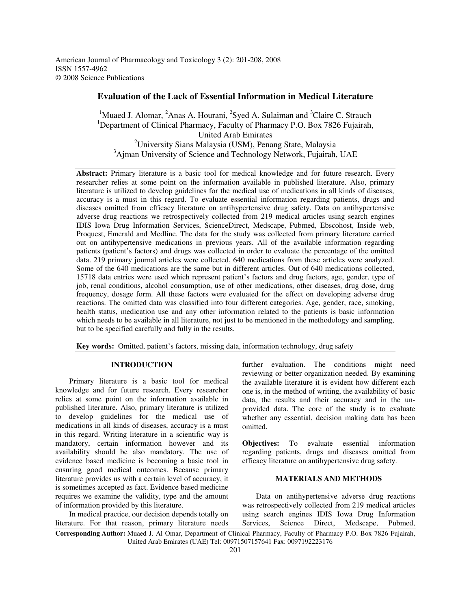American Journal of Pharmacology and Toxicology 3 (2): 201-208, 2008 ISSN 1557-4962 © 2008 Science Publications

# **Evaluation of the Lack of Essential Information in Medical Literature**

<sup>1</sup>Muaed J. Alomar,  ${}^{2}$ Anas A. Hourani,  ${}^{2}$ Syed A. Sulaiman and  ${}^{3}$ Claire C. Strauch <sup>1</sup>Department of Clinical Pharmacy, Faculty of Pharmacy P.O. Box 7826 Fujairah, United Arab Emirates <sup>2</sup>University Sians Malaysia (USM), Penang State, Malaysia <sup>3</sup>Ajman University of Science and Technology Network, Fujairah, UAE

Abstract: Primary literature is a basic tool for medical knowledge and for future research. Every researcher relies at some point on the information available in published literature. Also, primary literature is utilized to develop guidelines for the medical use of medications in all kinds of diseases, accuracy is a must in this regard. To evaluate essential information regarding patients, drugs and diseases omitted from efficacy literature on antihypertensive drug safety. Data on antihypertensive adverse drug reactions we retrospectively collected from 219 medical articles using search engines IDIS Iowa Drug Information Services, ScienceDirect, Medscape, Pubmed, Ebscohost, Inside web, Proquest, Emerald and Medline. The data for the study was collected from primary literature carried out on antihypertensive medications in previous years. All of the available information regarding patients (patient's factors) and drugs was collected in order to evaluate the percentage of the omitted data. 219 primary journal articles were collected, 640 medications from these articles were analyzed. Some of the 640 medications are the same but in different articles. Out of 640 medications collected, 15718 data entries were used which represent patient's factors and drug factors, age, gender, type of job, renal conditions, alcohol consumption, use of other medications, other diseases, drug dose, drug frequency, dosage form. All these factors were evaluated for the effect on developing adverse drug reactions. The omitted data was classified into four different categories. Age, gender, race, smoking, health status, medication use and any other information related to the patients is basic information which needs to be available in all literature, not just to be mentioned in the methodology and sampling, but to be specified carefully and fully in the results.

**Key words:** Omitted, patient's factors, missing data, information technology, drug safety

# **INTRODUCTION**

 Primary literature is a basic tool for medical knowledge and for future research. Every researcher relies at some point on the information available in published literature. Also, primary literature is utilized to develop guidelines for the medical use of medications in all kinds of diseases, accuracy is a must in this regard. Writing literature in a scientific way is mandatory, certain information however and its availability should be also mandatory. The use of evidence based medicine is becoming a basic tool in ensuring good medical outcomes. Because primary literature provides us with a certain level of accuracy, it is sometimes accepted as fact. Evidence based medicine requires we examine the validity, type and the amount of information provided by this literature.

 In medical practice, our decision depends totally on literature. For that reason, primary literature needs

further evaluation. The conditions might need reviewing or better organization needed. By examining the available literature it is evident how different each one is, in the method of writing, the availability of basic data, the results and their accuracy and in the unprovided data. The core of the study is to evaluate whether any essential, decision making data has been omitted.

**Objectives:** To evaluate essential information regarding patients, drugs and diseases omitted from efficacy literature on antihypertensive drug safety.

# **MATERIALS AND METHODS**

 Data on antihypertensive adverse drug reactions was retrospectively collected from 219 medical articles using search engines IDIS Iowa Drug Information Services, Science Direct, Medscape, Pubmed,

**Corresponding Author:** Muaed J. Al Omar, Department of Clinical Pharmacy, Faculty of Pharmacy P.O. Box 7826 Fujairah, United Arab Emirates (UAE) Tel: 00971507157641 Fax: 0097192223176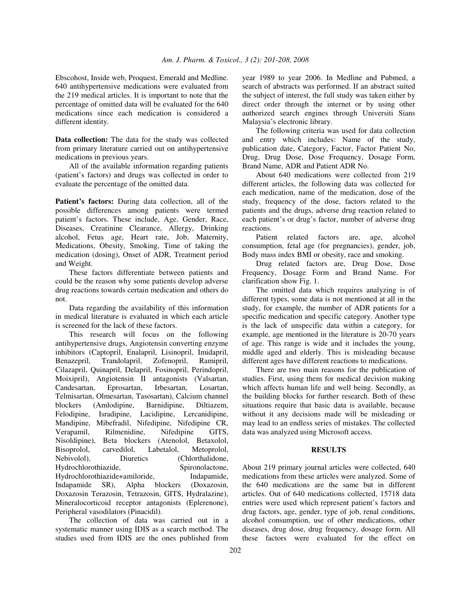Ebscohost, Inside web, Proquest, Emerald and Medline. 640 antihypertensive medications were evaluated from the 219 medical articles. It is important to note that the percentage of omitted data will be evaluated for the 640 medications since each medication is considered a different identity.

**Data collection:** The data for the study was collected from primary literature carried out on antihypertensive medications in previous years.

 All of the available information regarding patients (patient's factors) and drugs was collected in order to evaluate the percentage of the omitted data.

Patient's factors: During data collection, all of the possible differences among patients were termed patient's factors. These include, Age, Gender, Race, Diseases, Creatinine Clearance, Allergy, Drinking alcohol, Fetus age, Heart rate, Job, Maternity, Medications, Obesity, Smoking, Time of taking the medication (dosing), Onset of ADR, Treatment period and Weight.

 These factors differentiate between patients and could be the reason why some patients develop adverse drug reactions towards certain medication and others do not.

 Data regarding the availability of this information in medical literature is evaluated in which each article is screened for the lack of these factors.

 This research will focus on the following antihypertensive drugs, Angiotensin converting enzyme inhibitors (Captopril, Enalapril, Lisinopril, Imidapril, Benazepril, Trandolapril, Zofenopril, Ramipril, Cilazapril, Quinapril, Delapril, Fosinopril, Perindopril, Moixipril), Angiotensin II antagonists (Valsartan, Candesartan, Eprosartan, Irbesartan, Losartan, Telmisartan, Olmesartan, Tasosartan), Calcium channel blockers (Amlodipine, Barnidipine, Diltiazem, Felodipine, Isradipine, Lacidipine, Lercanidipine, Mandipine, Mibefradil, Nifedipine, Nifedipine CR, Verapamil, Rilmenidine, Nifedipine GITS, Nisoldipine), Beta blockers (Atenolol, Betaxolol, Bisoprolol, carvedilol, Labetalol, Metoprolol, Nebivolol), Diuretics (Chlorthalidone, Hydrochlorothiazide, Spironolactone, Hydrochlorothiazide+amiloride, Indapamide, Indapamide SR), Alpha blockers (Doxazosin, Doxazosin Terazosin, Tetrazosin, GITS, Hydralazine), Mineralocorticoid receptor antagonists (Eplerenone), Peripheral vasodilators (Pinacidil).

 The collection of data was carried out in a systematic manner using IDIS as a search method. The studies used from IDIS are the ones published from year 1989 to year 2006. In Medline and Pubmed, a search of abstracts was performed. If an abstract suited the subject of interest, the full study was taken either by direct order through the internet or by using other authorized search engines through Universiti Sians Malaysia's electronic library.

 The following criteria was used for data collection and entry which includes: Name of the study, publication date, Category, Factor, Factor Patient No, Drug, Drug Dose, Dose Frequency, Dosage Form, Brand Name, ADR and Patient ADR No.

 About 640 medications were collected from 219 different articles, the following data was collected for each medication, name of the medication, dose of the study, frequency of the dose, factors related to the patients and the drugs, adverse drug reaction related to each patient's or drug's factor, number of adverse drug reactions.

 Patient related factors are, age, alcohol consumption, fetal age (for pregnancies), gender, job, Body mass index BMI or obesity, race and smoking.

 Drug related factors are, Drug Dose, Dose Frequency, Dosage Form and Brand Name. For clarification show Fig. 1.

 The omitted data which requires analyzing is of different types, some data is not mentioned at all in the study, for example, the number of ADR patients for a specific medication and specific category. Another type is the lack of unspecific data within a category, for example, age mentioned in the literature is 20-70 years of age. This range is wide and it includes the young, middle aged and elderly. This is misleading because different ages have different reactions to medications.

 There are two main reasons for the publication of studies. First, using them for medical decision making which affects human life and well being. Secondly, as the building blocks for further research. Both of these situations require that basic data is available, because without it any decisions made will be misleading or may lead to an endless series of mistakes. The collected data was analyzed using Microsoft access.

### **RESULTS**

About 219 primary journal articles were collected, 640 medications from these articles were analyzed. Some of the 640 medications are the same but in different articles. Out of 640 medications collected, 15718 data entries were used which represent patient's factors and drug factors, age, gender, type of job, renal conditions, alcohol consumption, use of other medications, other diseases, drug dose, drug frequency, dosage form. All these factors were evaluated for the effect on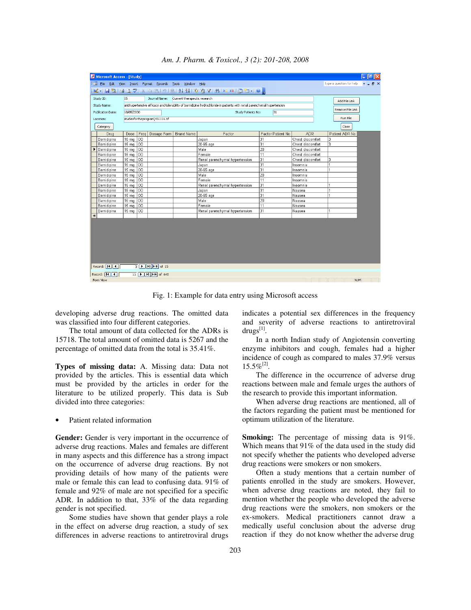| la<br>Microsoft Access - [Study]                                                                             |                                                                                                |           |                                                   |                   |                                                                                                                         |                   |                  |                          |                           |
|--------------------------------------------------------------------------------------------------------------|------------------------------------------------------------------------------------------------|-----------|---------------------------------------------------|-------------------|-------------------------------------------------------------------------------------------------------------------------|-------------------|------------------|--------------------------|---------------------------|
| $\frac{1}{2}$ = $\frac{1}{2}$ File                                                                           |                                                                                                |           | Edit View Insert Format Records Tools Window Help |                   |                                                                                                                         |                   |                  | Type a question for help | $   \frac{1}{2}$ $\times$ |
|                                                                                                              |                                                                                                |           |                                                   |                   | ░K- Hü BQ♡ XQB 9 Q {↓X  YQ7 # )=× dd- 0                                                                                 |                   |                  |                          |                           |
|                                                                                                              |                                                                                                |           |                                                   |                   |                                                                                                                         |                   |                  |                          |                           |
| Study ID:                                                                                                    | 15                                                                                             |           | Journal Name: Current therapeutic research        |                   |                                                                                                                         |                   |                  | Add File Link            |                           |
| Study Name:                                                                                                  |                                                                                                |           |                                                   |                   | antihypertensive efficacy and tolerability of barnidipine hydrochloride in patients with renal parenchymal hypertension |                   |                  |                          |                           |
| <b>Publication Date:</b>                                                                                     | 10/05/2000                                                                                     |           |                                                   |                   | Study Patients No:                                                                                                      | 31                |                  | Remove File Link         |                           |
| Location:                                                                                                    |                                                                                                |           | studiesfortheprogram\451116.tif                   |                   |                                                                                                                         |                   |                  | Run File                 |                           |
| Category                                                                                                     |                                                                                                |           |                                                   |                   |                                                                                                                         |                   |                  | Close                    |                           |
| Drug                                                                                                         | Dose                                                                                           | Freq      | Dosage Form                                       | <b>Brand Name</b> | Factor                                                                                                                  | Factor Patient No | <b>ADR</b>       | Patient ADR No.          |                           |
| Barnidipine                                                                                                  | 15 mg   OD                                                                                     |           |                                                   |                   | Japan                                                                                                                   | 31                | Chest discomfort | 3                        |                           |
| Barnidipine                                                                                                  | 15 mg OD                                                                                       |           |                                                   |                   | 20-65 age                                                                                                               | 31                | Chest discomfort |                          |                           |
| Barnidipine                                                                                                  | 15 mg   OD                                                                                     |           |                                                   |                   | Male                                                                                                                    | 20                | Chest discomfort |                          |                           |
| Barnidipine                                                                                                  | 15 mg                                                                                          | <b>OD</b> |                                                   |                   | Female                                                                                                                  | 11                | Chest discomfort |                          |                           |
| Barnidipine                                                                                                  | 15 mg $ OD$                                                                                    |           |                                                   |                   | Renal parenchymal hypertension                                                                                          | 31                | Chest discomfort | 3                        |                           |
| Barnidipine                                                                                                  | 15 mg   OD                                                                                     |           |                                                   |                   | Japan                                                                                                                   | $\overline{31}$   | Insomnia         |                          |                           |
| Barnidipine                                                                                                  | 15 mg   OD                                                                                     |           |                                                   |                   | 20-65 age                                                                                                               | 31                | Insomnia         |                          |                           |
| Barnidipine                                                                                                  | 15 mg                                                                                          | $ _{OD}$  |                                                   |                   | Male                                                                                                                    | 20                | Insomnia         |                          |                           |
| Barnidipine                                                                                                  | $15 \text{ mg}$                                                                                | $ $ OD    |                                                   |                   | Female                                                                                                                  | 11                | Insomnia         |                          |                           |
| Barnidipine                                                                                                  | 15 mg                                                                                          | 10D       |                                                   |                   | Renal parenchymal hypertension                                                                                          | 31                | Insomnia         |                          |                           |
| Barnidipine                                                                                                  | 15 mg $ OD$                                                                                    |           |                                                   |                   | Japan                                                                                                                   | 31                | Nausea           |                          |                           |
| Barnidipine                                                                                                  | 15 mg   OD                                                                                     |           |                                                   |                   | 20-65 age                                                                                                               | 31                | Nausea           |                          |                           |
| Barnidipine                                                                                                  | 15 mg $ OD$                                                                                    |           |                                                   |                   | Male                                                                                                                    | 20                | Nausea           |                          |                           |
| Barnidipine                                                                                                  | 15 <sub>mg</sub>                                                                               | lop       |                                                   |                   | Female                                                                                                                  | 11                | Nausea           |                          |                           |
| Barnidipine                                                                                                  | 15 mg   OD                                                                                     |           |                                                   |                   | Renal parenchymal hypertension                                                                                          | 31                | Nausea           | 1                        |                           |
| ₩                                                                                                            |                                                                                                |           |                                                   |                   |                                                                                                                         |                   |                  |                          |                           |
|                                                                                                              |                                                                                                |           |                                                   |                   |                                                                                                                         |                   |                  |                          |                           |
|                                                                                                              |                                                                                                |           |                                                   |                   |                                                                                                                         |                   |                  |                          |                           |
|                                                                                                              |                                                                                                |           |                                                   |                   |                                                                                                                         |                   |                  |                          |                           |
|                                                                                                              |                                                                                                |           |                                                   |                   |                                                                                                                         |                   |                  |                          |                           |
|                                                                                                              |                                                                                                |           |                                                   |                   |                                                                                                                         |                   |                  |                          |                           |
|                                                                                                              |                                                                                                |           |                                                   |                   |                                                                                                                         |                   |                  |                          |                           |
|                                                                                                              |                                                                                                |           |                                                   |                   |                                                                                                                         |                   |                  |                          |                           |
|                                                                                                              |                                                                                                |           |                                                   |                   |                                                                                                                         |                   |                  |                          |                           |
| Record: 1111<br>$3$ $\triangleright$ $\triangleright$ $\triangleright$ $\triangleright$ $\preccurlyeq$ of 15 |                                                                                                |           |                                                   |                   |                                                                                                                         |                   |                  |                          |                           |
| Record: 14 4                                                                                                 | $13$ $\triangleright$ $\triangleright$ $\triangleright$ $\triangleright$ $\preccurlyeq$ of 640 |           |                                                   |                   |                                                                                                                         |                   |                  |                          |                           |
| Form View                                                                                                    |                                                                                                |           |                                                   |                   |                                                                                                                         |                   |                  | <b>NUM</b>               |                           |

*Am. J. Pharm. & Toxicol., 3 (2): 201-208, 2008* 

Fig. 1: Example for data entry using Microsoft access

developing adverse drug reactions. The omitted data was classified into four different categories.

 The total amount of data collected for the ADRs is 15718. The total amount of omitted data is 5267 and the percentage of omitted data from the total is 35.41%.

**Types of missing data:** A. Missing data: Data not provided by the articles. This is essential data which must be provided by the articles in order for the literature to be utilized properly. This data is Sub divided into three categories:

Patient related information

Gender: Gender is very important in the occurrence of adverse drug reactions. Males and females are different in many aspects and this difference has a strong impact on the occurrence of adverse drug reactions. By not providing details of how many of the patients were male or female this can lead to confusing data. 91% of female and 92% of male are not specified for a specific ADR. In addition to that, 33% of the data regarding gender is not specified.

 Some studies have shown that gender plays a role in the effect on adverse drug reaction, a study of sex differences in adverse reactions to antiretroviral drugs indicates a potential sex differences in the frequency and severity of adverse reactions to antiretroviral drugs $^{[1]}$ .

 In a north Indian study of Angiotensin converting enzyme inhibitors and cough, females had a higher incidence of cough as compared to males 37.9% versus  $15.5\%$ <sup>[2]</sup>.

 The difference in the occurrence of adverse drug reactions between male and female urges the authors of the research to provide this important information.

 When adverse drug reactions are mentioned, all of the factors regarding the patient must be mentioned for optimum utilization of the literature.

**Smoking:** The percentage of missing data is 91%. Which means that 91% of the data used in the study did not specify whether the patients who developed adverse drug reactions were smokers or non smokers.

 Often a study mentions that a certain number of patients enrolled in the study are smokers. However, when adverse drug reactions are noted, they fail to mention whether the people who developed the adverse drug reactions were the smokers, non smokers or the ex-smokers. Medical practitioners cannot draw a medically useful conclusion about the adverse drug reaction if they do not know whether the adverse drug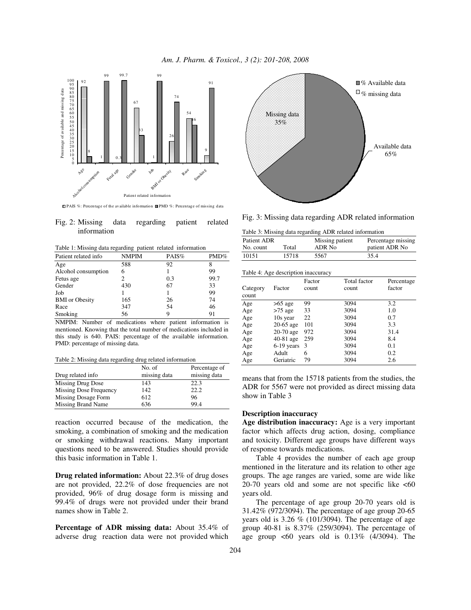



**PAIS** %: Percentage of the available information **PMD** %: Percentage of missing data

|             | Fig. 2: Missing data regarding patient related |  |
|-------------|------------------------------------------------|--|
| information |                                                |  |

Table 1: Missing data regarding patient related information

| Patient related info  | <b>NMPIM</b> | PAIS% | $PMD\%$ |
|-----------------------|--------------|-------|---------|
| Age                   | 588          | 92    |         |
| Alcohol consumption   | 6            |       | 99      |
| Fetus age             |              | 0.3   | 99.7    |
| Gender                | 430          | 67    | 33      |
| Job                   |              |       | 99      |
| <b>BMI</b> or Obesity | 165          | 26    | 74      |
| Race                  | 347          | 54    | 46      |
| Smoking               | 56           | 9     | 91      |

NMPIM: Number of medications where patient information is mentioned. Knowing that the total number of medications included in this study is 640. PAIS: percentage of the available information. PMD: percentage of missing data.

Table 2: Missing data regarding drug related information

|                        | No. of       | Percentage of |
|------------------------|--------------|---------------|
| Drug related info      | missing data | missing data  |
| Missing Drug Dose      | 143          | 22.3          |
| Missing Dose Frequency | 142          | 22.2          |
| Missing Dosage Form    | 612          | 96            |
| Missing Brand Name     | 636          | 99.4          |

reaction occurred because of the medication, the smoking, a combination of smoking and the medication or smoking withdrawal reactions. Many important questions need to be answered. Studies should provide this basic information in Table 1.

**Drug related information:** About 22.3% of drug doses are not provided, 22.2% of dose frequencies are not provided, 96% of drug dosage form is missing and 99.4% of drugs were not provided under their brand names show in Table 2.

**Percentage of ADR missing data:** About 35.4% of adverse drug reaction data were not provided which



Fig. 3: Missing data regarding ADR related information

Table 3: Missing data regarding ADR related information

| Patient ADR | Total | Missing patient | Percentage missing |
|-------------|-------|-----------------|--------------------|
| No. count   |       | ADR No          | patient ADR No     |
| 10151       | 15718 | 5567            | 35.4               |

| Table 4: Age description inaccuracy |                  |                 |                              |                      |  |  |  |
|-------------------------------------|------------------|-----------------|------------------------------|----------------------|--|--|--|
| Category                            | Factor           | Factor<br>count | <b>Total factor</b><br>count | Percentage<br>factor |  |  |  |
| count                               |                  | 99              |                              | 3.2                  |  |  |  |
| Age                                 | $>65$ age        |                 | 3094                         |                      |  |  |  |
| Age                                 | $>75$ age        | 33              | 3094                         | 1.0                  |  |  |  |
| Age                                 | 10s year         | 22              | 3094                         | 0.7                  |  |  |  |
| Age                                 | $20-65$ age      | 101             | 3094                         | 3.3                  |  |  |  |
| Age                                 | $20-70$ age      | 972             | 3094                         | 31.4                 |  |  |  |
| Age                                 | $40-81$ age      | 259             | 3094                         | 8.4                  |  |  |  |
| Age                                 | $6-19$ years $3$ |                 | 3094                         | 0.1                  |  |  |  |
| Age                                 | Adult            | 6               | 3094                         | 0.2                  |  |  |  |
| Age                                 | Geriatric        | 79              | 3094                         | 2.6                  |  |  |  |

means that from the 15718 patients from the studies, the ADR for 5567 were not provided as direct missing data show in Table 3

### **Description inaccuracy**

**Age distribution inaccuracy:** Age is a very important factor which affects drug action, dosing, compliance and toxicity. Different age groups have different ways of response towards medications.

 Table 4 provides the number of each age group mentioned in the literature and its relation to other age groups. The age ranges are varied, some are wide like 20-70 years old and some are not specific like <60 years old.

 The percentage of age group 20-70 years old is 31.42% (972/3094). The percentage of age group 20-65 years old is 3.26 % (101/3094). The percentage of age group 40-81 is 8.37% (259/3094). The percentage of age group  $\leq 60$  years old is 0.13% (4/3094). The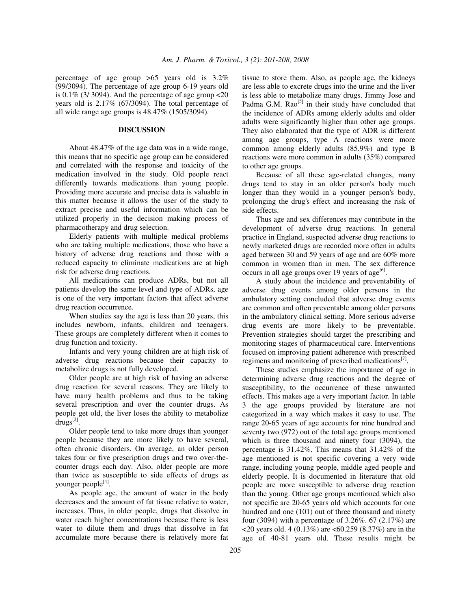percentage of age group >65 years old is 3.2% (99/3094). The percentage of age group 6-19 years old is  $0.1\%$  (3/3094). And the percentage of age group  $\langle 20 \rangle$ years old is 2.17% (67/3094). The total percentage of all wide range age groups is 48.47% (1505/3094).

#### **DISCUSSION**

 About 48.47% of the age data was in a wide range, this means that no specific age group can be considered and correlated with the response and toxicity of the medication involved in the study. Old people react differently towards medications than young people. Providing more accurate and precise data is valuable in this matter because it allows the user of the study to extract precise and useful information which can be utilized properly in the decision making process of pharmacotherapy and drug selection.

 Elderly patients with multiple medical problems who are taking multiple medications, those who have a history of adverse drug reactions and those with a reduced capacity to eliminate medications are at high risk for adverse drug reactions.

 All medications can produce ADRs, but not all patients develop the same level and type of ADRs, age is one of the very important factors that affect adverse drug reaction occurrence.

 When studies say the age is less than 20 years, this includes newborn, infants, children and teenagers. These groups are completely different when it comes to drug function and toxicity.

 Infants and very young children are at high risk of adverse drug reactions because their capacity to metabolize drugs is not fully developed.

 Older people are at high risk of having an adverse drug reaction for several reasons. They are likely to have many health problems and thus to be taking several prescription and over the counter drugs. As people get old, the liver loses the ability to metabolize  $drugs^{[3]}$ .

 Older people tend to take more drugs than younger people because they are more likely to have several, often chronic disorders. On average, an older person takes four or five prescription drugs and two over-thecounter drugs each day. Also, older people are more than twice as susceptible to side effects of drugs as younger people<sup>[4]</sup>.

 As people age, the amount of water in the body decreases and the amount of fat tissue relative to water, increases. Thus, in older people, drugs that dissolve in water reach higher concentrations because there is less water to dilute them and drugs that dissolve in fat accumulate more because there is relatively more fat tissue to store them. Also, as people age, the kidneys are less able to excrete drugs into the urine and the liver is less able to metabolize many drugs. Jimmy Jose and Padma G.M.  $Rao^{[5]}$  in their study have concluded that the incidence of ADRs among elderly adults and older adults were significantly higher than other age groups. They also elaborated that the type of ADR is different among age groups, type A reactions were more common among elderly adults (85.9%) and type B reactions were more common in adults (35%) compared to other age groups.

 Because of all these age-related changes, many drugs tend to stay in an older person's body much longer than they would in a younger person's body, prolonging the drug's effect and increasing the risk of side effects.

 Thus age and sex differences may contribute in the development of adverse drug reactions. In general practice in England, suspected adverse drug reactions to newly marketed drugs are recorded more often in adults aged between 30 and 59 years of age and are 60% more common in women than in men. The sex difference occurs in all age groups over 19 years of age<sup>[6]</sup>.

 A study about the incidence and preventability of adverse drug events among older persons in the ambulatory setting concluded that adverse drug events are common and often preventable among older persons in the ambulatory clinical setting. More serious adverse drug events are more likely to be preventable. Prevention strategies should target the prescribing and monitoring stages of pharmaceutical care. Interventions focused on improving patient adherence with prescribed regimens and monitoring of prescribed medications<sup>[7]</sup>.

 These studies emphasize the importance of age in determining adverse drug reactions and the degree of susceptibility, to the occurrence of these unwanted effects. This makes age a very important factor. In table 3 the age groups provided by literature are not categorized in a way which makes it easy to use. The range 20-65 years of age accounts for nine hundred and seventy two (972) out of the total age groups mentioned which is three thousand and ninety four (3094), the percentage is 31.42%. This means that 31.42% of the age mentioned is not specific covering a very wide range, including young people, middle aged people and elderly people. It is documented in literature that old people are more susceptible to adverse drug reaction than the young. Other age groups mentioned which also not specific are 20-65 years old which accounts for one hundred and one (101) out of three thousand and ninety four (3094) with a percentage of 3.26%. 67 (2.17%) are <20 years old. 4 (0.13%) are  $\lt60.259$  (8.37%) are in the age of 40-81 years old. These results might be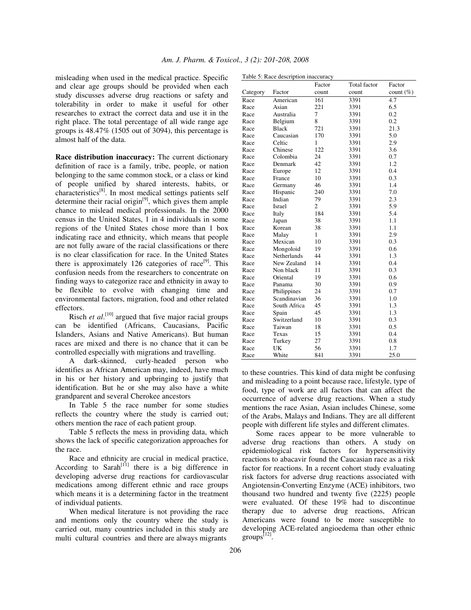misleading when used in the medical practice. Specific and clear age groups should be provided when each study discusses adverse drug reactions or safety and tolerability in order to make it useful for other researches to extract the correct data and use it in the right place. The total percentage of all wide range age groups is 48.47% (1505 out of 3094), this percentage is almost half of the data.

**Race distribution inaccuracy:** The current dictionary definition of race is a family, tribe, people, or nation belonging to the same common stock, or a class or kind of people unified by shared interests, habits, or characteristics[8]. In most medical settings patients self determine their racial origin $[9]$ , which gives them ample chance to mislead medical professionals. In the 2000 census in the United States, 1 in 4 individuals in some regions of the United States chose more than 1 box indicating race and ethnicity, which means that people are not fully aware of the racial classifications or there is no clear classification for race. In the United States there is approximately 126 categories of race<sup>[9]</sup>. This confusion needs from the researchers to concentrate on finding ways to categorize race and ethnicity in away to be flexible to evolve with changing time and environmental factors, migration, food and other related effectors.

Risch *et al*.<sup>[10]</sup> argued that five major racial groups can be identified (Africans, Caucasians, Pacific Islanders, Asians and Native Americans). But human races are mixed and there is no chance that it can be controlled especially with migrations and travelling.

 A dark-skinned, curly-headed person who identifies as African American may, indeed, have much in his or her history and upbringing to justify that identification. But he or she may also have a white grandparent and several Cherokee ancestors

 In Table 5 the race number for some studies reflects the country where the study is carried out; others mention the race of each patient group.

 Table 5 reflects the mess in providing data, which shows the lack of specific categorization approaches for the race.

 Race and ethnicity are crucial in medical practice, According to Sarah<sup>[11]</sup> there is a big difference in developing adverse drug reactions for cardiovascular medications among different ethnic and race groups which means it is a determining factor in the treatment of individual patients.

 When medical literature is not providing the race and mentions only the country where the study is carried out, many countries included in this study are multi cultural countries and there are always migrants

|  | Table 5: Race description inaccuracy |
|--|--------------------------------------|
|  |                                      |

|          |              | Factor         | <b>Total factor</b> | Factor       |
|----------|--------------|----------------|---------------------|--------------|
| Category | Factor       | count          | count               | count $(\%)$ |
| Race     | American     | 161            | 3391                | 4.7          |
| Race     | Asian        | 221            | 3391                | 6.5          |
| Race     | Australia    | 7              | 3391                | 0.2          |
| Race     | Belgium      | 8              | 3391                | 0.2          |
| Race     | <b>Black</b> | 721            | 3391                | 21.3         |
| Race     | Caucasian    | 170            | 3391                | 5.0          |
| Race     | Celtic       | 1              | 3391                | 2.9          |
| Race     | Chinese      | 122            | 3391                | 3.6          |
| Race     | Colombia     | 24             | 3391                | 0.7          |
| Race     | Denmark      | 42             | 3391                | 1.2          |
| Race     | Europe       | 12             | 3391                | 0.4          |
| Race     | France       | 10             | 3391                | 0.3          |
| Race     | Germany      | 46             | 3391                | 1.4          |
| Race     | Hispanic     | 240            | 3391                | 7.0          |
| Race     | Indian       | 79             | 3391                | 2.3          |
| Race     | Israel       | $\overline{c}$ | 3391                | 5.9          |
| Race     | Italy        | 184            | 3391                | 5.4          |
| Race     | Japan        | 38             | 3391                | 1.1          |
| Race     | Korean       | 38             | 3391                | 1.1          |
| Race     | Malay        | 1              | 3391                | 2.9          |
| Race     | Mexican      | 10             | 3391                | 0.3          |
| Race     | Mongoloid    | 19             | 3391                | 0.6          |
| Race     | Netherlands  | 44             | 3391                | 1.3          |
| Race     | New Zealand  | 14             | 3391                | 0.4          |
| Race     | Non black    | 11             | 3391                | 0.3          |
| Race     | Oriental     | 19             | 3391                | 0.6          |
| Race     | Panama       | 30             | 3391                | 0.9          |
| Race     | Philippines  | 24             | 3391                | 0.7          |
| Race     | Scandinavian | 36             | 3391                | 1.0          |
| Race     | South Africa | 45             | 3391                | 1.3          |
| Race     | Spain        | 45             | 3391                | 1.3          |
| Race     | Switzerland  | 10             | 3391                | 0.3          |
| Race     | Taiwan       | 18             | 3391                | 0.5          |
| Race     | Texas        | 15             | 3391                | 0.4          |
| Race     | Turkey       | 27             | 3391                | 0.8          |
| Race     | UK           | 56             | 3391                | 1.7          |
| Race     | White        | 841            | 3391                | 25.0         |

to these countries. This kind of data might be confusing and misleading to a point because race, lifestyle, type of food, type of work are all factors that can affect the occurrence of adverse drug reactions. When a study mentions the race Asian, Asian includes Chinese, some of the Arabs, Malays and Indians. They are all different people with different life styles and different climates.

 Some races appear to be more vulnerable to adverse drug reactions than others. A study on epidemiological risk factors for hypersensitivity reactions to abacavir found the Caucasian race as a risk factor for reactions. In a recent cohort study evaluating risk factors for adverse drug reactions associated with Angiotensin-Converting Enzyme (ACE) inhibitors, two thousand two hundred and twenty five (2225) people were evaluated. Of these 19% had to discontinue therapy due to adverse drug reactions, African Americans were found to be more susceptible to developing ACE-related angioedema than other ethnic groups<sup>[12]</sup>.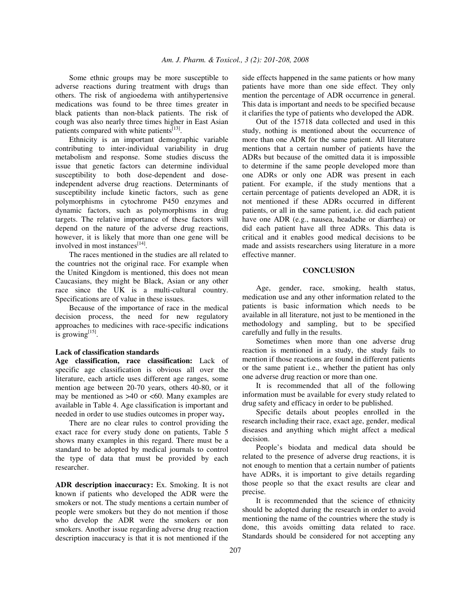Some ethnic groups may be more susceptible to adverse reactions during treatment with drugs than others. The risk of angioedema with antihypertensive medications was found to be three times greater in black patients than non-black patients. The risk of cough was also nearly three times higher in East Asian patients compared with white patients<sup>[13]</sup>.

 Ethnicity is an important demographic variable contributing to inter-individual variability in drug metabolism and response. Some studies discuss the issue that genetic factors can determine individual susceptibility to both dose-dependent and doseindependent adverse drug reactions. Determinants of susceptibility include kinetic factors, such as gene polymorphisms in cytochrome P450 enzymes and dynamic factors, such as polymorphisms in drug targets. The relative importance of these factors will depend on the nature of the adverse drug reactions, however, it is likely that more than one gene will be involved in most instances<sup>[14]</sup>.

 The races mentioned in the studies are all related to the countries not the original race. For example when the United Kingdom is mentioned, this does not mean Caucasians, they might be Black, Asian or any other race since the UK is a multi-cultural country. Specifications are of value in these issues.

 Because of the importance of race in the medical decision process, the need for new regulatory approaches to medicines with race-specific indications is growing $^{[15]}$ .

#### **Lack of classification standards**

**Age classification, race classification:** Lack of specific age classification is obvious all over the literature, each article uses different age ranges, some mention age between 20-70 years, others 40-80, or it may be mentioned as  $>40$  or  $< 60$ . Many examples are available in Table 4. Age classification is important and needed in order to use studies outcomes in proper way**.** 

 There are no clear rules to control providing the exact race for every study done on patients, Table 5 shows many examples in this regard. There must be a standard to be adopted by medical journals to control the type of data that must be provided by each researcher.

**ADR description inaccuracy:** Ex. Smoking. It is not known if patients who developed the ADR were the smokers or not. The study mentions a certain number of people were smokers but they do not mention if those who develop the ADR were the smokers or non smokers. Another issue regarding adverse drug reaction description inaccuracy is that it is not mentioned if the

side effects happened in the same patients or how many patients have more than one side effect. They only mention the percentage of ADR occurrence in general. This data is important and needs to be specified because it clarifies the type of patients who developed the ADR.

 Out of the 15718 data collected and used in this study, nothing is mentioned about the occurrence of more than one ADR for the same patient. All literature mentions that a certain number of patients have the ADRs but because of the omitted data it is impossible to determine if the same people developed more than one ADRs or only one ADR was present in each patient. For example, if the study mentions that a certain percentage of patients developed an ADR, it is not mentioned if these ADRs occurred in different patients, or all in the same patient, i.e. did each patient have one ADR (e.g., nausea, headache or diarrhea) or did each patient have all three ADRs. This data is critical and it enables good medical decisions to be made and assists researchers using literature in a more effective manner.

#### **CONCLUSION**

 Age, gender, race, smoking, health status, medication use and any other information related to the patients is basic information which needs to be available in all literature, not just to be mentioned in the methodology and sampling, but to be specified carefully and fully in the results.

 Sometimes when more than one adverse drug reaction is mentioned in a study, the study fails to mention if those reactions are found in different patients or the same patient i.e., whether the patient has only one adverse drug reaction or more than one.

 It is recommended that all of the following information must be available for every study related to drug safety and efficacy in order to be published.

 Specific details about peoples enrolled in the research including their race, exact age, gender, medical diseases and anything which might affect a medical decision.

 People's biodata and medical data should be related to the presence of adverse drug reactions, it is not enough to mention that a certain number of patients have ADRs, it is important to give details regarding those people so that the exact results are clear and precise.

 It is recommended that the science of ethnicity should be adopted during the research in order to avoid mentioning the name of the countries where the study is done, this avoids omitting data related to race. Standards should be considered for not accepting any